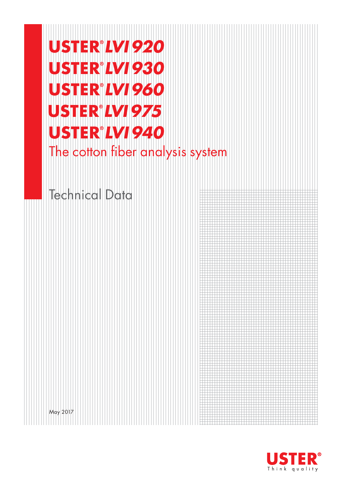# **USTER®LVI 920 USTER®LVI 930** USTER<sup>®</sup>LVI960 **USTER®LVI 975 USTER®LVI 940** The cotton fiber analysis system

# Technical Data

May 2017

**STER®** Think quality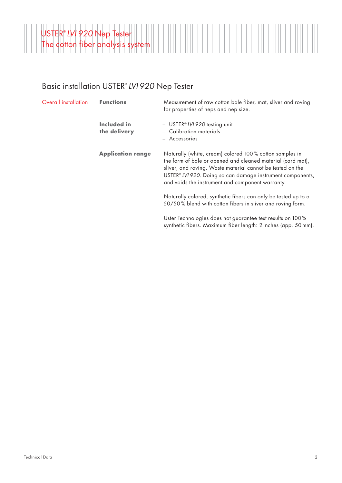

#### Basic installation USTER® *LVI 920* Nep Tester

| Overall installation | <b>Functions</b>            | Measurement of raw cotton bale fiber, mat, sliver and roving<br>for properties of neps and nep size.                                                                                                                                                                                                   |
|----------------------|-----------------------------|--------------------------------------------------------------------------------------------------------------------------------------------------------------------------------------------------------------------------------------------------------------------------------------------------------|
|                      | Included in<br>the delivery | - USTER® LVI 920 testing unit<br>- Calibration materials                                                                                                                                                                                                                                               |
|                      |                             | - Accessories                                                                                                                                                                                                                                                                                          |
|                      | <b>Application range</b>    | Naturally (white, cream) colored 100% cotton samples in<br>the form of bale or opened and cleaned material (card mat),<br>sliver, and roving. Waste material cannot be tested on the<br>USTER® LVI 920. Doing so can damage instrument components,<br>and voids the instrument and component warranty. |
|                      |                             | Naturally colored, synthetic fibers can only be tested up to a<br>50/50% blend with cotton fibers in sliver and roving form.                                                                                                                                                                           |
|                      |                             | Uster Technologies does not guarantee test results on 100%<br>synthetic fibers. Maximum fiber length: 2 inches (app. 50 mm).                                                                                                                                                                           |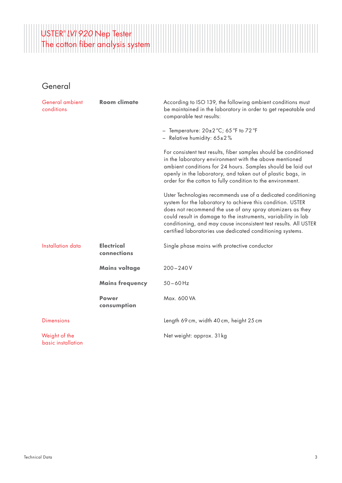

| General ambient<br>conditions       | <b>Room climate</b>              | According to ISO 139, the following ambient conditions must<br>be maintained in the laboratory in order to get repeatable and<br>comparable test results:                                                                                                                                                                                                                                   |
|-------------------------------------|----------------------------------|---------------------------------------------------------------------------------------------------------------------------------------------------------------------------------------------------------------------------------------------------------------------------------------------------------------------------------------------------------------------------------------------|
|                                     |                                  | - Temperature: $20\pm2\degree C$ ; 65 $\degree F$ to 72 $\degree F$<br>- Relative humidity: $65\pm2\%$                                                                                                                                                                                                                                                                                      |
|                                     |                                  | For consistent test results, fiber samples should be conditioned<br>in the laboratory environment with the above mentioned<br>ambient conditions for 24 hours. Samples should be laid out<br>openly in the laboratory, and taken out of plastic bags, in<br>order for the cotton to fully condition to the environment.                                                                     |
|                                     |                                  | Uster Technologies recommends use of a dedicated conditioning<br>system for the laboratory to achieve this condition. USTER<br>does not recommend the use of any spray atomizers as they<br>could result in damage to the instruments, variability in lab<br>conditioning, and may cause inconsistent test results. All USTER<br>certified laboratories use dedicated conditioning systems. |
| Installation data                   | <b>Electrical</b><br>connections | Single phase mains with protective conductor                                                                                                                                                                                                                                                                                                                                                |
|                                     | <b>Mains voltage</b>             | $200 - 240V$                                                                                                                                                                                                                                                                                                                                                                                |
|                                     | <b>Mains frequency</b>           | $50 - 60$ Hz                                                                                                                                                                                                                                                                                                                                                                                |
|                                     | <b>Power</b><br>consumption      | Max. 600 VA                                                                                                                                                                                                                                                                                                                                                                                 |
| <b>Dimensions</b>                   |                                  | Length 69 cm, width 40 cm, height 25 cm                                                                                                                                                                                                                                                                                                                                                     |
| Weight of the<br>basic installation |                                  | Net weight: approx. 31kg                                                                                                                                                                                                                                                                                                                                                                    |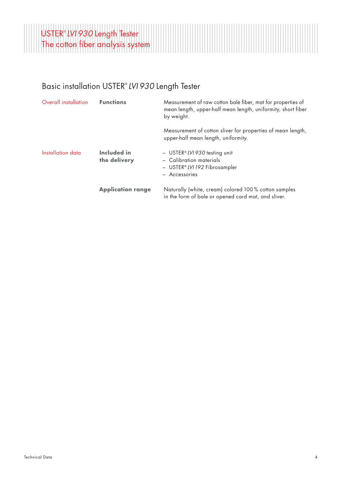

#### Basic installation USTER® *LVI 930* Length Tester

| Overall installation | <b>Functions</b>            | Measurement of raw cotton bale fiber, mat for properties of<br>mean length, upper-half mean length, uniformity, short fiber<br>by weight. |
|----------------------|-----------------------------|-------------------------------------------------------------------------------------------------------------------------------------------|
|                      |                             | Measurement of cotton sliver for properties of mean length,<br>upper-half mean length, uniformity.                                        |
| Installation data    | Included in<br>the delivery | - USTER® LVI 930 testing unit<br>- Calibration materials<br>- USTER®LVI 192 Fibrosampler<br>- Accessories                                 |
|                      | <b>Application range</b>    | Naturally (white, cream) colored 100% cotton samples<br>in the form of bale or opened card mat, and sliver.                               |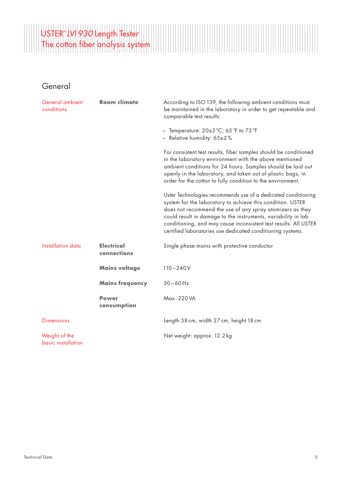

| General ambient<br>conditions       | <b>Room climate</b>              | According to ISO 139, the following ambient conditions must<br>be maintained in the laboratory in order to get repeatable and<br>comparable test results:                                                                                                                                                                                                                                   |
|-------------------------------------|----------------------------------|---------------------------------------------------------------------------------------------------------------------------------------------------------------------------------------------------------------------------------------------------------------------------------------------------------------------------------------------------------------------------------------------|
|                                     |                                  | - Temperature: 20±2 °C; 65 °F to 72 °F<br>- Relative humidity: $65\pm2\%$                                                                                                                                                                                                                                                                                                                   |
|                                     |                                  | For consistent test results, fiber samples should be conditioned<br>in the laboratory environment with the above mentioned<br>ambient conditions for 24 hours. Samples should be laid out<br>openly in the laboratory, and taken out of plastic bags, in<br>order for the cotton to fully condition to the environment.                                                                     |
|                                     |                                  | Uster Technologies recommends use of a dedicated conditioning<br>system for the laboratory to achieve this condition. USTER<br>does not recommend the use of any spray atomizers as they<br>could result in damage to the instruments, variability in lab<br>conditioning, and may cause inconsistent test results. All USTER<br>certified laboratories use dedicated conditioning systems. |
| <b>Installation data</b>            | <b>Electrical</b><br>connections | Single phase mains with protective conductor                                                                                                                                                                                                                                                                                                                                                |
|                                     | <b>Mains voltage</b>             | $110 - 240V$                                                                                                                                                                                                                                                                                                                                                                                |
|                                     | <b>Mains frequency</b>           | $50 - 60$ Hz                                                                                                                                                                                                                                                                                                                                                                                |
|                                     | <b>Power</b><br>consumption      | Max. 220 VA                                                                                                                                                                                                                                                                                                                                                                                 |
| <b>Dimensions</b>                   |                                  | Length 58 cm, width 27 cm, height 18 cm                                                                                                                                                                                                                                                                                                                                                     |
| Weight of the<br>basic installation |                                  | Net weight: approx. 12.2 kg                                                                                                                                                                                                                                                                                                                                                                 |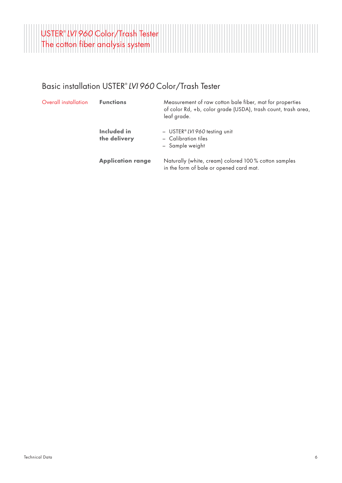

#### Basic installation USTER® *LVI 960* Color/Trash Tester

| Overall installation | <b>Functions</b>            | Measurement of raw cotton bale fiber, mat for properties<br>of color Rd, +b, color grade (USDA), trash count, trash area,<br>leaf grade. |
|----------------------|-----------------------------|------------------------------------------------------------------------------------------------------------------------------------------|
|                      | Included in<br>the delivery | $-$ USTER <sup>®</sup> LVI 960 testing unit<br>- Calibration tiles<br>- Sample weight                                                    |
|                      | <b>Application range</b>    | Naturally (white, cream) colored 100% cotton samples<br>in the form of bale or opened card mat.                                          |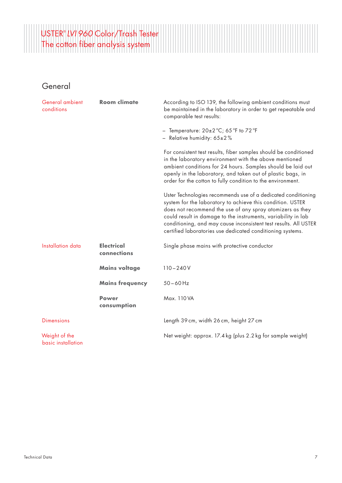# USTER® *LVI 960* Color/Trash Tester The cotton fiber analysis system

| General ambient<br>conditions       | <b>Room climate</b>              | According to ISO 139, the following ambient conditions must<br>be maintained in the laboratory in order to get repeatable and<br>comparable test results:                                                                                                                                                                                                                                   |
|-------------------------------------|----------------------------------|---------------------------------------------------------------------------------------------------------------------------------------------------------------------------------------------------------------------------------------------------------------------------------------------------------------------------------------------------------------------------------------------|
|                                     |                                  | - Temperature: $20\pm2\degree C$ ; 65 $\degree F$ to 72 $\degree F$<br>- Relative humidity: $65\pm2\%$                                                                                                                                                                                                                                                                                      |
|                                     |                                  | For consistent test results, fiber samples should be conditioned<br>in the laboratory environment with the above mentioned<br>ambient conditions for 24 hours. Samples should be laid out<br>openly in the laboratory, and taken out of plastic bags, in<br>order for the cotton to fully condition to the environment.                                                                     |
|                                     |                                  | Uster Technologies recommends use of a dedicated conditioning<br>system for the laboratory to achieve this condition. USTER<br>does not recommend the use of any spray atomizers as they<br>could result in damage to the instruments, variability in lab<br>conditioning, and may cause inconsistent test results. All USTER<br>certified laboratories use dedicated conditioning systems. |
| Installation data                   | <b>Electrical</b><br>connections | Single phase mains with protective conductor                                                                                                                                                                                                                                                                                                                                                |
|                                     | <b>Mains voltage</b>             | $110 - 240V$                                                                                                                                                                                                                                                                                                                                                                                |
|                                     | <b>Mains frequency</b>           | $50 - 60$ Hz                                                                                                                                                                                                                                                                                                                                                                                |
|                                     | <b>Power</b><br>consumption      | Max. 110 VA                                                                                                                                                                                                                                                                                                                                                                                 |
| <b>Dimensions</b>                   |                                  | Length 39 cm, width 26 cm, height 27 cm                                                                                                                                                                                                                                                                                                                                                     |
| Weight of the<br>basic installation |                                  | Net weight: approx. 17.4 kg (plus 2.2 kg for sample weight)                                                                                                                                                                                                                                                                                                                                 |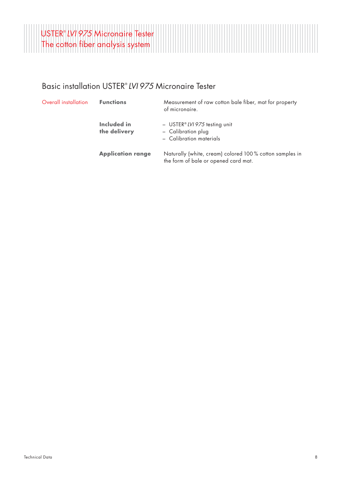

#### Basic installation USTER® *LVI 975* Micronaire Tester

| Overall installation | <b>Functions</b>            | Measurement of raw cotton bale fiber, mat for property<br>of micronaire.                        |
|----------------------|-----------------------------|-------------------------------------------------------------------------------------------------|
|                      | Included in<br>the delivery | $-$ USTER <sup>®</sup> LVI 975 testing unit<br>- Calibration plug<br>- Calibration materials    |
|                      | <b>Application range</b>    | Naturally (white, cream) colored 100% cotton samples in<br>the form of bale or opened card mat. |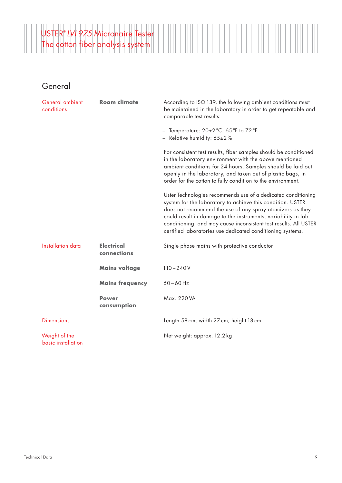# USTER® *LVI 975* Micronaire Tester The cotton fiber analysis system

| General ambient<br>conditions       | <b>Room climate</b>              | According to ISO 139, the following ambient conditions must<br>be maintained in the laboratory in order to get repeatable and<br>comparable test results:                                                                                                                                                                                                                                   |
|-------------------------------------|----------------------------------|---------------------------------------------------------------------------------------------------------------------------------------------------------------------------------------------------------------------------------------------------------------------------------------------------------------------------------------------------------------------------------------------|
|                                     |                                  | - Temperature: $20\pm2\degree C$ ; 65 $\degree F$ to 72 $\degree F$<br>- Relative humidity: $65\pm2\%$                                                                                                                                                                                                                                                                                      |
|                                     |                                  | For consistent test results, fiber samples should be conditioned<br>in the laboratory environment with the above mentioned<br>ambient conditions for 24 hours. Samples should be laid out<br>openly in the laboratory, and taken out of plastic bags, in<br>order for the cotton to fully condition to the environment.                                                                     |
|                                     |                                  | Uster Technologies recommends use of a dedicated conditioning<br>system for the laboratory to achieve this condition. USTER<br>does not recommend the use of any spray atomizers as they<br>could result in damage to the instruments, variability in lab<br>conditioning, and may cause inconsistent test results. All USTER<br>certified laboratories use dedicated conditioning systems. |
| Installation data                   | <b>Electrical</b><br>connections | Single phase mains with protective conductor                                                                                                                                                                                                                                                                                                                                                |
|                                     | <b>Mains voltage</b>             | $110 - 240V$                                                                                                                                                                                                                                                                                                                                                                                |
|                                     | <b>Mains frequency</b>           | $50 - 60$ Hz                                                                                                                                                                                                                                                                                                                                                                                |
|                                     | <b>Power</b><br>consumption      | Max. 220 VA                                                                                                                                                                                                                                                                                                                                                                                 |
| <b>Dimensions</b>                   |                                  | Length 58 cm, width 27 cm, height 18 cm                                                                                                                                                                                                                                                                                                                                                     |
| Weight of the<br>basic installation |                                  | Net weight: approx. 12.2 kg                                                                                                                                                                                                                                                                                                                                                                 |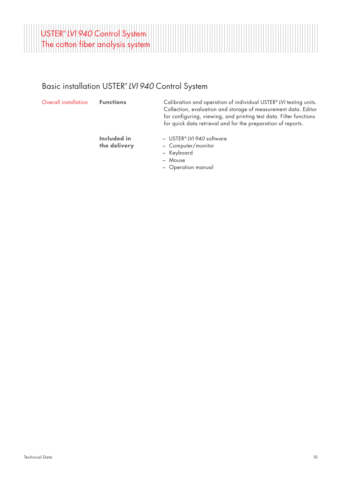

#### Basic installation USTER® *LVI 940* Control System

| Overall installation |  |
|----------------------|--|
|                      |  |

Functions Calibration and operation of individual USTER® *LVI* testing units.

**Included in the delivery** – USTER® *LVI 940* software

Collection, evaluation and storage of measurement data. Editor for configuring, viewing, and printing test data. Filter functions for quick data retrieval and for the preparation of reports.

- Computer/monitor
- Keyboard
- Mouse
- Operation manual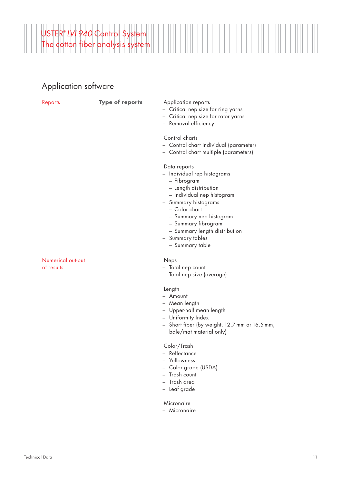

# Application software

| Reports                         | <b>Type of reports</b> | Application reports<br>- Critical nep size for ring yarns<br>- Critical nep size for rotor yarns<br>- Removal efficiency                                                                                                                                                             |
|---------------------------------|------------------------|--------------------------------------------------------------------------------------------------------------------------------------------------------------------------------------------------------------------------------------------------------------------------------------|
|                                 |                        | Control charts<br>- Control chart individual (parameter)<br>- Control chart multiple (parameters)                                                                                                                                                                                    |
|                                 |                        | Data reports<br>- Individual rep histograms<br>- Fibrogram<br>- Length distribution<br>- Individual nep histogram<br>- Summary histograms<br>- Color chart<br>- Summary nep histogram<br>– Summary fibrogram<br>- Summary length distribution<br>- Summary tables<br>– Summary table |
| Numerical out-put<br>of results |                        | Neps<br>- Total nep count<br>- Total nep size (average)                                                                                                                                                                                                                              |
|                                 |                        | Length<br>- Amount<br>- Mean length<br>- Upper-half mean length<br>- Uniformity Index<br>- Short fiber (by weight, 12.7 mm or 16.5 mm,<br>bale/mat material only)                                                                                                                    |
|                                 |                        | $C - L = \sqrt{T}$                                                                                                                                                                                                                                                                   |

- Color/Trash
- Reflectance
- Yellowness
- Color grade (USDA)
- Trash count
- Trash area
- Leaf grade

Micronaire

– Micronaire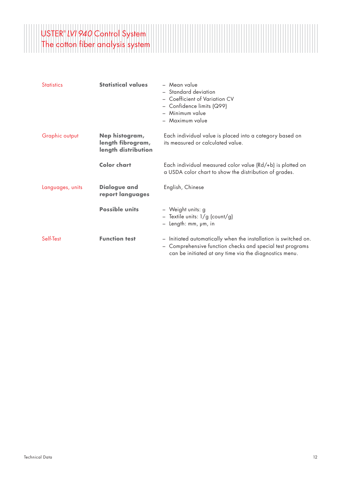# USTER® *LVI 940* Control System The cotton fiber analysis system

| <b>Statistics</b> | <b>Statistical values</b>                                  | - Mean value<br>- Standard deviation<br>- Coefficient of Variation CV<br>$-$ Confidence limits (Q99)<br>- Minimum value<br>- Maximum value                                             |
|-------------------|------------------------------------------------------------|----------------------------------------------------------------------------------------------------------------------------------------------------------------------------------------|
| Graphic output    | Nep histogram,<br>length fibrogram,<br>length distribution | Each individual value is placed into a category based on<br>its measured or calculated value.                                                                                          |
|                   | <b>Color chart</b>                                         | Each individual measured color value (Rd/+b) is plotted on<br>a USDA color chart to show the distribution of grades.                                                                   |
| Languages, units  | <b>Dialogue and</b><br>report languages                    | English, Chinese                                                                                                                                                                       |
|                   | <b>Possible units</b>                                      | - Weight units: g<br>- Textile units: 1/g (count/g)<br>- Length: mm, µm, in                                                                                                            |
| Self-Test         | <b>Function test</b>                                       | - Initiated automatically when the installation is switched on.<br>- Comprehensive function checks and special test programs<br>can be initiated at any time via the diagnostics menu. |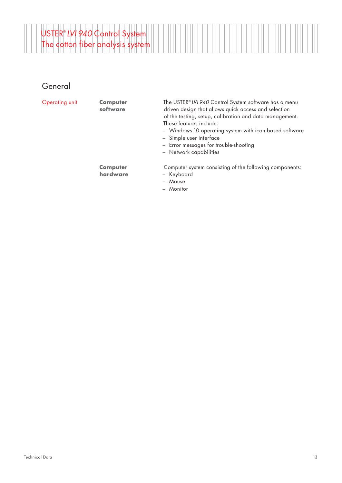

| Operating unit | <b>Computer</b><br>software | The USTER® LVI 940 Control System software has a menu<br>driven design that allows quick access and selection<br>of the testing, setup, calibration and data management.<br>These features include:<br>- Windows 10 operating system with icon based software<br>- Simple user interface<br>- Error messages for trouble-shooting<br>- Network capabilities |
|----------------|-----------------------------|-------------------------------------------------------------------------------------------------------------------------------------------------------------------------------------------------------------------------------------------------------------------------------------------------------------------------------------------------------------|
|                | <b>Computer</b><br>hardware | Computer system consisting of the following components:<br>- Keyboard<br>- Mouse<br>- Monitor                                                                                                                                                                                                                                                               |